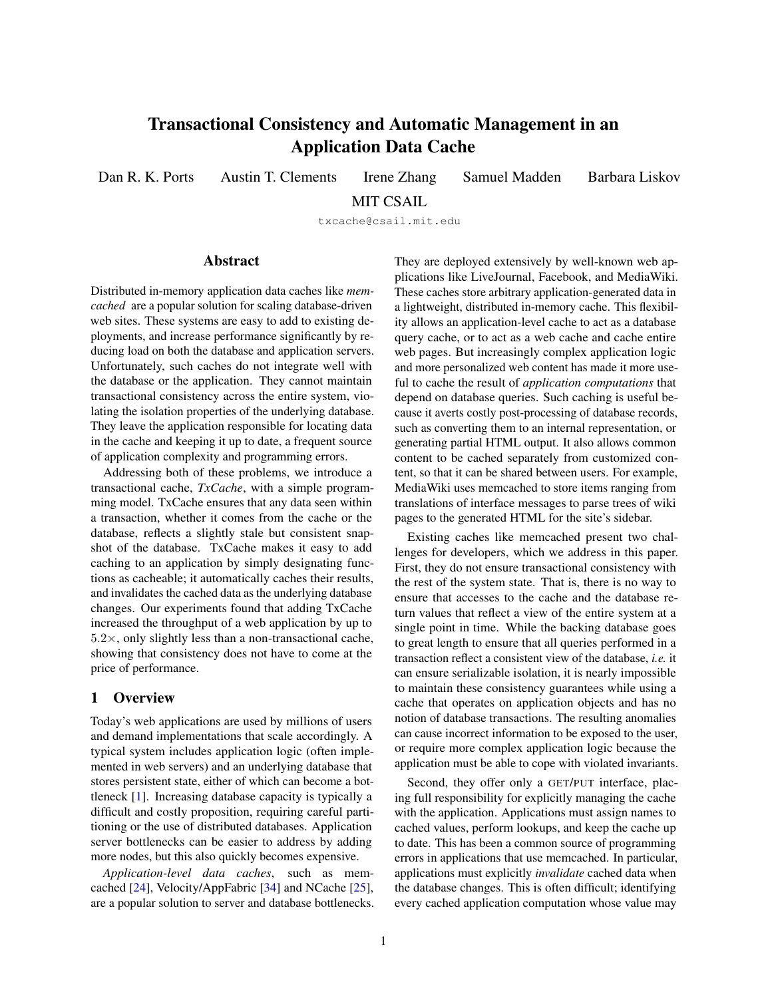# Transactional Consistency and Automatic Management in an Application Data Cache

Dan R. K. Ports Austin T. Clements Irene Zhang Samuel Madden Barbara Liskov

MIT CSAIL

txcache@csail.mit.edu

#### Abstract

Distributed in-memory application data caches like *memcached* are a popular solution for scaling database-driven web sites. These systems are easy to add to existing deployments, and increase performance significantly by reducing load on both the database and application servers. Unfortunately, such caches do not integrate well with the database or the application. They cannot maintain transactional consistency across the entire system, violating the isolation properties of the underlying database. They leave the application responsible for locating data in the cache and keeping it up to date, a frequent source of application complexity and programming errors.

Addressing both of these problems, we introduce a transactional cache, *TxCache*, with a simple programming model. TxCache ensures that any data seen within a transaction, whether it comes from the cache or the database, reflects a slightly stale but consistent snapshot of the database. TxCache makes it easy to add caching to an application by simply designating functions as cacheable; it automatically caches their results, and invalidates the cached data as the underlying database changes. Our experiments found that adding TxCache increased the throughput of a web application by up to  $5.2\times$ , only slightly less than a non-transactional cache, showing that consistency does not have to come at the price of performance.

#### 1 Overview

Today's web applications are used by millions of users and demand implementations that scale accordingly. A typical system includes application logic (often implemented in web servers) and an underlying database that stores persistent state, either of which can become a bottleneck [\[1\]](#page-12-0). Increasing database capacity is typically a difficult and costly proposition, requiring careful partitioning or the use of distributed databases. Application server bottlenecks can be easier to address by adding more nodes, but this also quickly becomes expensive.

*Application-level data caches*, such as memcached [\[24\]](#page-13-0), Velocity/AppFabric [\[34\]](#page-13-1) and NCache [\[25\]](#page-13-2), are a popular solution to server and database bottlenecks. They are deployed extensively by well-known web applications like LiveJournal, Facebook, and MediaWiki. These caches store arbitrary application-generated data in a lightweight, distributed in-memory cache. This flexibility allows an application-level cache to act as a database query cache, or to act as a web cache and cache entire web pages. But increasingly complex application logic and more personalized web content has made it more useful to cache the result of *application computations* that depend on database queries. Such caching is useful because it averts costly post-processing of database records, such as converting them to an internal representation, or generating partial HTML output. It also allows common content to be cached separately from customized content, so that it can be shared between users. For example, MediaWiki uses memcached to store items ranging from translations of interface messages to parse trees of wiki pages to the generated HTML for the site's sidebar.

Existing caches like memcached present two challenges for developers, which we address in this paper. First, they do not ensure transactional consistency with the rest of the system state. That is, there is no way to ensure that accesses to the cache and the database return values that reflect a view of the entire system at a single point in time. While the backing database goes to great length to ensure that all queries performed in a transaction reflect a consistent view of the database, *i.e.* it can ensure serializable isolation, it is nearly impossible to maintain these consistency guarantees while using a cache that operates on application objects and has no notion of database transactions. The resulting anomalies can cause incorrect information to be exposed to the user, or require more complex application logic because the application must be able to cope with violated invariants.

Second, they offer only a GET/PUT interface, placing full responsibility for explicitly managing the cache with the application. Applications must assign names to cached values, perform lookups, and keep the cache up to date. This has been a common source of programming errors in applications that use memcached. In particular, applications must explicitly *invalidate* cached data when the database changes. This is often difficult; identifying every cached application computation whose value may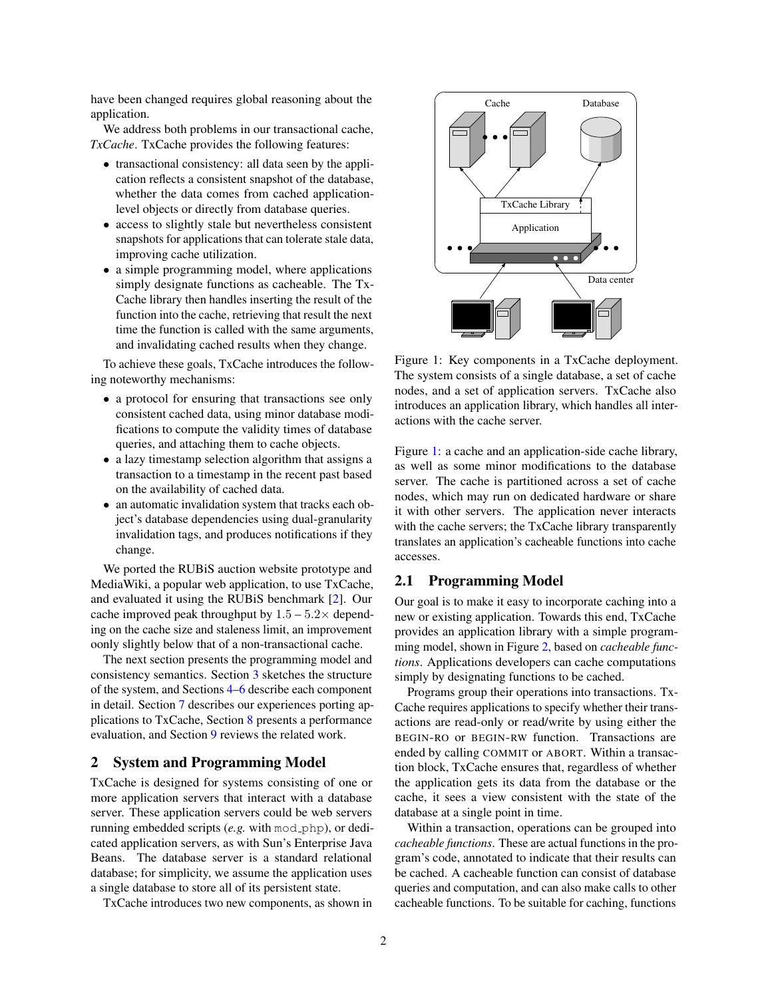have been changed requires global reasoning about the application.

We address both problems in our transactional cache, *TxCache*. TxCache provides the following features:

- transactional consistency: all data seen by the application reflects a consistent snapshot of the database, whether the data comes from cached applicationlevel objects or directly from database queries.
- access to slightly stale but nevertheless consistent snapshots for applications that can tolerate stale data, improving cache utilization.
- a simple programming model, where applications simply designate functions as cacheable. The Tx-Cache library then handles inserting the result of the function into the cache, retrieving that result the next time the function is called with the same arguments, and invalidating cached results when they change.

To achieve these goals, TxCache introduces the following noteworthy mechanisms:

- a protocol for ensuring that transactions see only consistent cached data, using minor database modifications to compute the validity times of database queries, and attaching them to cache objects.
- a lazy timestamp selection algorithm that assigns a transaction to a timestamp in the recent past based on the availability of cached data.
- an automatic invalidation system that tracks each object's database dependencies using dual-granularity invalidation tags, and produces notifications if they change.

We ported the RUBiS auction website prototype and MediaWiki, a popular web application, to use TxCache, and evaluated it using the RUBiS benchmark [\[2\]](#page-12-1). Our cache improved peak throughput by  $1.5 - 5.2 \times$  depending on the cache size and staleness limit, an improvement oonly slightly below that of a non-transactional cache.

The next section presents the programming model and consistency semantics. Section [3](#page-3-0) sketches the structure of the system, and Sections [4–](#page-3-1)[6](#page-6-0) describe each component in detail. Section [7](#page-8-0) describes our experiences porting applications to TxCache, Section [8](#page-9-0) presents a performance evaluation, and Section [9](#page-11-0) reviews the related work.

# 2 System and Programming Model

TxCache is designed for systems consisting of one or more application servers that interact with a database server. These application servers could be web servers running embedded scripts (*e.g.* with mod php), or dedicated application servers, as with Sun's Enterprise Java Beans. The database server is a standard relational database; for simplicity, we assume the application uses a single database to store all of its persistent state.

TxCache introduces two new components, as shown in



<span id="page-1-0"></span>Figure 1: Key components in a TxCache deployment. The system consists of a single database, a set of cache nodes, and a set of application servers. TxCache also introduces an application library, which handles all interactions with the cache server.

Figure [1:](#page-1-0) a cache and an application-side cache library, as well as some minor modifications to the database server. The cache is partitioned across a set of cache nodes, which may run on dedicated hardware or share it with other servers. The application never interacts with the cache servers; the TxCache library transparently translates an application's cacheable functions into cache accesses.

# <span id="page-1-1"></span>2.1 Programming Model

Our goal is to make it easy to incorporate caching into a new or existing application. Towards this end, TxCache provides an application library with a simple programming model, shown in Figure [2,](#page-2-0) based on *cacheable functions*. Applications developers can cache computations simply by designating functions to be cached.

Programs group their operations into transactions. Tx-Cache requires applications to specify whether their transactions are read-only or read/write by using either the BEGIN-RO or BEGIN-RW function. Transactions are ended by calling COMMIT or ABORT. Within a transaction block, TxCache ensures that, regardless of whether the application gets its data from the database or the cache, it sees a view consistent with the state of the database at a single point in time.

Within a transaction, operations can be grouped into *cacheable functions*. These are actual functions in the program's code, annotated to indicate that their results can be cached. A cacheable function can consist of database queries and computation, and can also make calls to other cacheable functions. To be suitable for caching, functions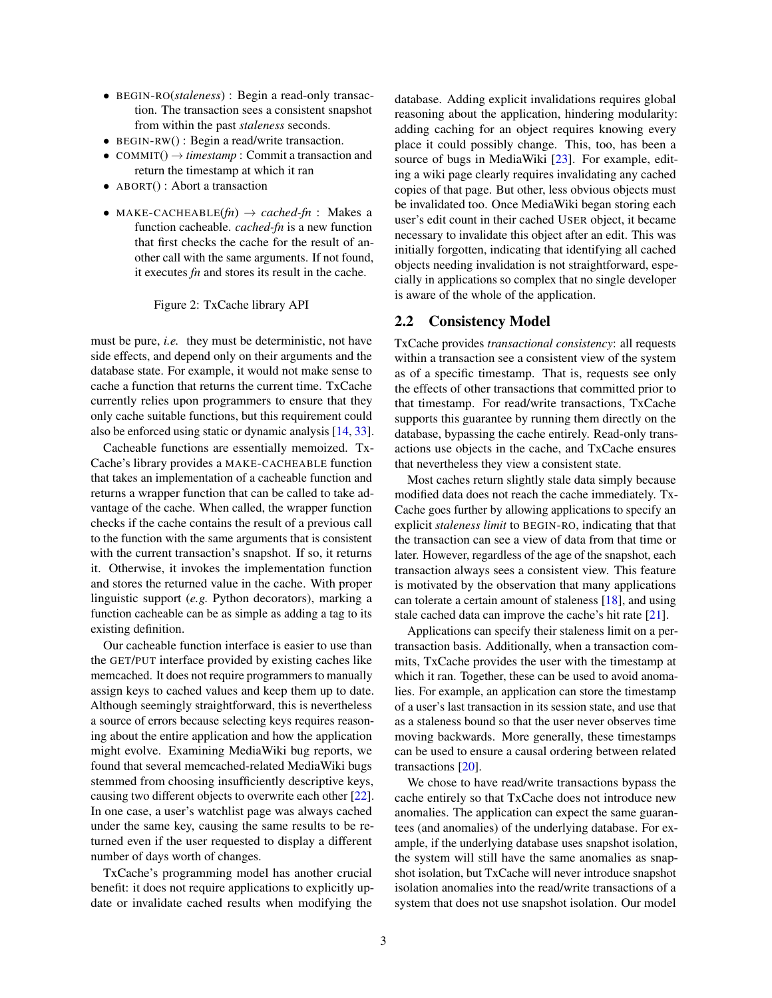- BEGIN-RO(*staleness*) : Begin a read-only transaction. The transaction sees a consistent snapshot from within the past *staleness* seconds.
- BEGIN-RW() : Begin a read/write transaction.
- COMMIT $() \rightarrow$  *timestamp* : Commit a transaction and return the timestamp at which it ran
- ABORT(): Abort a transaction
- MAKE-CACHEABLE $f(n) \rightarrow cached\text{-}fn$ : Makes a function cacheable. *cached-fn* is a new function that first checks the cache for the result of another call with the same arguments. If not found, it executes *fn* and stores its result in the cache.

#### <span id="page-2-0"></span>Figure 2: TxCache library API

must be pure, *i.e.* they must be deterministic, not have side effects, and depend only on their arguments and the database state. For example, it would not make sense to cache a function that returns the current time. TxCache currently relies upon programmers to ensure that they only cache suitable functions, but this requirement could also be enforced using static or dynamic analysis [\[14,](#page-13-3) [33\]](#page-13-4).

Cacheable functions are essentially memoized. Tx-Cache's library provides a MAKE-CACHEABLE function that takes an implementation of a cacheable function and returns a wrapper function that can be called to take advantage of the cache. When called, the wrapper function checks if the cache contains the result of a previous call to the function with the same arguments that is consistent with the current transaction's snapshot. If so, it returns it. Otherwise, it invokes the implementation function and stores the returned value in the cache. With proper linguistic support (*e.g.* Python decorators), marking a function cacheable can be as simple as adding a tag to its existing definition.

Our cacheable function interface is easier to use than the GET/PUT interface provided by existing caches like memcached. It does not require programmers to manually assign keys to cached values and keep them up to date. Although seemingly straightforward, this is nevertheless a source of errors because selecting keys requires reasoning about the entire application and how the application might evolve. Examining MediaWiki bug reports, we found that several memcached-related MediaWiki bugs stemmed from choosing insufficiently descriptive keys, causing two different objects to overwrite each other [\[22\]](#page-13-5). In one case, a user's watchlist page was always cached under the same key, causing the same results to be returned even if the user requested to display a different number of days worth of changes.

TxCache's programming model has another crucial benefit: it does not require applications to explicitly update or invalidate cached results when modifying the database. Adding explicit invalidations requires global reasoning about the application, hindering modularity: adding caching for an object requires knowing every place it could possibly change. This, too, has been a source of bugs in MediaWiki [\[23\]](#page-13-6). For example, editing a wiki page clearly requires invalidating any cached copies of that page. But other, less obvious objects must be invalidated too. Once MediaWiki began storing each user's edit count in their cached USER object, it became necessary to invalidate this object after an edit. This was initially forgotten, indicating that identifying all cached objects needing invalidation is not straightforward, especially in applications so complex that no single developer is aware of the whole of the application.

#### 2.2 Consistency Model

TxCache provides *transactional consistency*: all requests within a transaction see a consistent view of the system as of a specific timestamp. That is, requests see only the effects of other transactions that committed prior to that timestamp. For read/write transactions, TxCache supports this guarantee by running them directly on the database, bypassing the cache entirely. Read-only transactions use objects in the cache, and TxCache ensures that nevertheless they view a consistent state.

Most caches return slightly stale data simply because modified data does not reach the cache immediately. Tx-Cache goes further by allowing applications to specify an explicit *staleness limit* to BEGIN-RO, indicating that that the transaction can see a view of data from that time or later. However, regardless of the age of the snapshot, each transaction always sees a consistent view. This feature is motivated by the observation that many applications can tolerate a certain amount of staleness [\[18\]](#page-13-7), and using stale cached data can improve the cache's hit rate [\[21\]](#page-13-8).

Applications can specify their staleness limit on a pertransaction basis. Additionally, when a transaction commits, TxCache provides the user with the timestamp at which it ran. Together, these can be used to avoid anomalies. For example, an application can store the timestamp of a user's last transaction in its session state, and use that as a staleness bound so that the user never observes time moving backwards. More generally, these timestamps can be used to ensure a causal ordering between related transactions [\[20\]](#page-13-9).

We chose to have read/write transactions bypass the cache entirely so that TxCache does not introduce new anomalies. The application can expect the same guarantees (and anomalies) of the underlying database. For example, if the underlying database uses snapshot isolation, the system will still have the same anomalies as snapshot isolation, but TxCache will never introduce snapshot isolation anomalies into the read/write transactions of a system that does not use snapshot isolation. Our model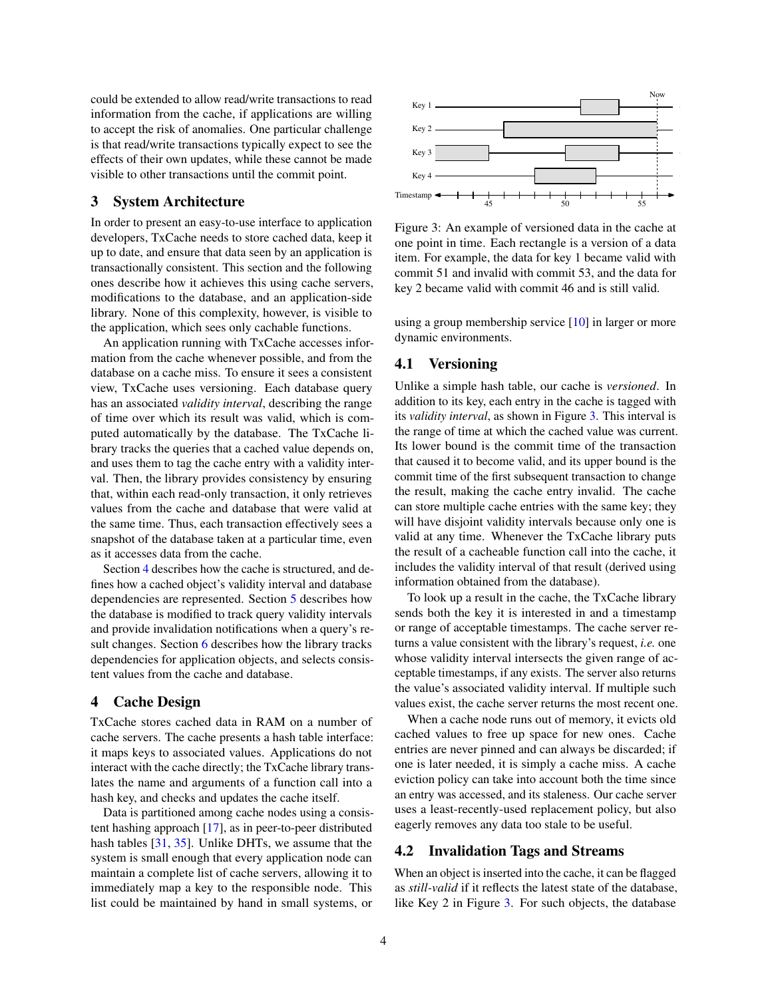could be extended to allow read/write transactions to read information from the cache, if applications are willing to accept the risk of anomalies. One particular challenge is that read/write transactions typically expect to see the effects of their own updates, while these cannot be made visible to other transactions until the commit point.

#### <span id="page-3-0"></span>3 System Architecture

In order to present an easy-to-use interface to application developers, TxCache needs to store cached data, keep it up to date, and ensure that data seen by an application is transactionally consistent. This section and the following ones describe how it achieves this using cache servers, modifications to the database, and an application-side library. None of this complexity, however, is visible to the application, which sees only cachable functions.

An application running with TxCache accesses information from the cache whenever possible, and from the database on a cache miss. To ensure it sees a consistent view, TxCache uses versioning. Each database query has an associated *validity interval*, describing the range of time over which its result was valid, which is computed automatically by the database. The TxCache library tracks the queries that a cached value depends on, and uses them to tag the cache entry with a validity interval. Then, the library provides consistency by ensuring that, within each read-only transaction, it only retrieves values from the cache and database that were valid at the same time. Thus, each transaction effectively sees a snapshot of the database taken at a particular time, even as it accesses data from the cache.

Section [4](#page-3-1) describes how the cache is structured, and defines how a cached object's validity interval and database dependencies are represented. Section [5](#page-4-0) describes how the database is modified to track query validity intervals and provide invalidation notifications when a query's result changes. Section [6](#page-6-0) describes how the library tracks dependencies for application objects, and selects consistent values from the cache and database.

#### <span id="page-3-1"></span>4 Cache Design

TxCache stores cached data in RAM on a number of cache servers. The cache presents a hash table interface: it maps keys to associated values. Applications do not interact with the cache directly; the TxCache library translates the name and arguments of a function call into a hash key, and checks and updates the cache itself.

Data is partitioned among cache nodes using a consistent hashing approach [\[17\]](#page-13-10), as in peer-to-peer distributed hash tables [\[31,](#page-13-11) [35\]](#page-13-12). Unlike DHTs, we assume that the system is small enough that every application node can maintain a complete list of cache servers, allowing it to immediately map a key to the responsible node. This list could be maintained by hand in small systems, or



<span id="page-3-2"></span>Figure 3: An example of versioned data in the cache at one point in time. Each rectangle is a version of a data item. For example, the data for key 1 became valid with commit 51 and invalid with commit 53, and the data for key 2 became valid with commit 46 and is still valid.

using a group membership service [\[10\]](#page-13-13) in larger or more dynamic environments.

# 4.1 Versioning

Unlike a simple hash table, our cache is *versioned*. In addition to its key, each entry in the cache is tagged with its *validity interval*, as shown in Figure [3.](#page-3-2) This interval is the range of time at which the cached value was current. Its lower bound is the commit time of the transaction that caused it to become valid, and its upper bound is the commit time of the first subsequent transaction to change the result, making the cache entry invalid. The cache can store multiple cache entries with the same key; they will have disjoint validity intervals because only one is valid at any time. Whenever the TxCache library puts the result of a cacheable function call into the cache, it includes the validity interval of that result (derived using information obtained from the database).

To look up a result in the cache, the TxCache library sends both the key it is interested in and a timestamp or range of acceptable timestamps. The cache server returns a value consistent with the library's request, *i.e.* one whose validity interval intersects the given range of acceptable timestamps, if any exists. The server also returns the value's associated validity interval. If multiple such values exist, the cache server returns the most recent one.

When a cache node runs out of memory, it evicts old cached values to free up space for new ones. Cache entries are never pinned and can always be discarded; if one is later needed, it is simply a cache miss. A cache eviction policy can take into account both the time since an entry was accessed, and its staleness. Our cache server uses a least-recently-used replacement policy, but also eagerly removes any data too stale to be useful.

# <span id="page-3-3"></span>4.2 Invalidation Tags and Streams

When an object is inserted into the cache, it can be flagged as *still-valid* if it reflects the latest state of the database, like Key 2 in Figure [3.](#page-3-2) For such objects, the database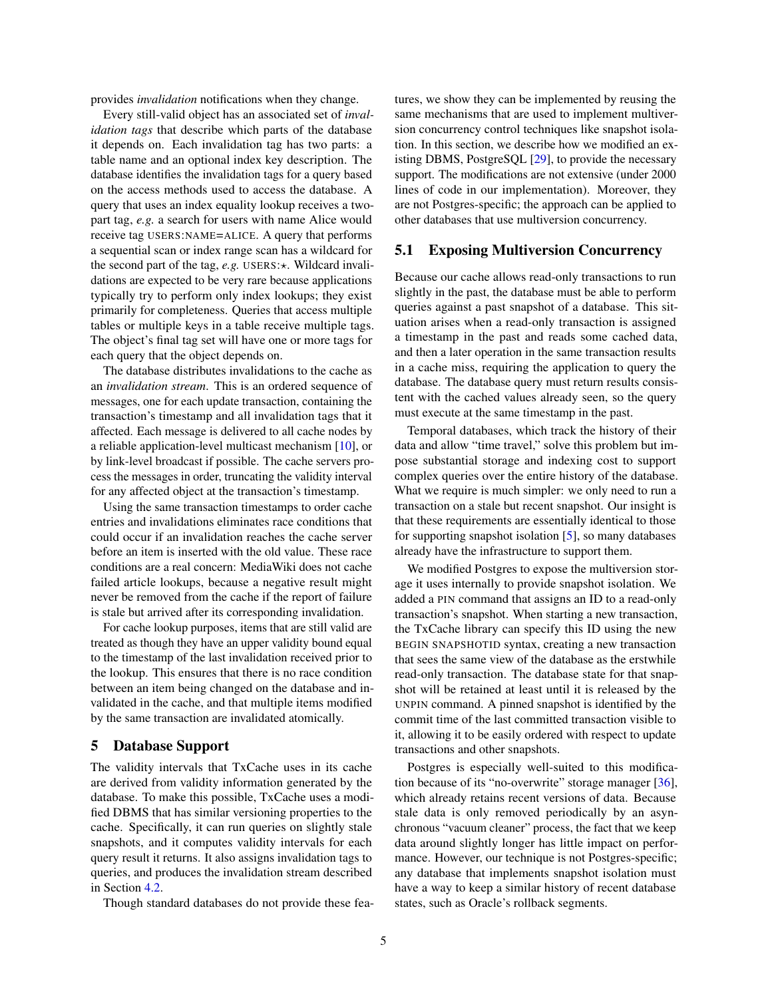provides *invalidation* notifications when they change.

Every still-valid object has an associated set of *invalidation tags* that describe which parts of the database it depends on. Each invalidation tag has two parts: a table name and an optional index key description. The database identifies the invalidation tags for a query based on the access methods used to access the database. A query that uses an index equality lookup receives a twopart tag, *e.g.* a search for users with name Alice would receive tag USERS:NAME=ALICE. A query that performs a sequential scan or index range scan has a wildcard for the second part of the tag,  $e.g.$  USERS: $\star$ . Wildcard invalidations are expected to be very rare because applications typically try to perform only index lookups; they exist primarily for completeness. Queries that access multiple tables or multiple keys in a table receive multiple tags. The object's final tag set will have one or more tags for each query that the object depends on.

The database distributes invalidations to the cache as an *invalidation stream*. This is an ordered sequence of messages, one for each update transaction, containing the transaction's timestamp and all invalidation tags that it affected. Each message is delivered to all cache nodes by a reliable application-level multicast mechanism [\[10\]](#page-13-13), or by link-level broadcast if possible. The cache servers process the messages in order, truncating the validity interval for any affected object at the transaction's timestamp.

Using the same transaction timestamps to order cache entries and invalidations eliminates race conditions that could occur if an invalidation reaches the cache server before an item is inserted with the old value. These race conditions are a real concern: MediaWiki does not cache failed article lookups, because a negative result might never be removed from the cache if the report of failure is stale but arrived after its corresponding invalidation.

For cache lookup purposes, items that are still valid are treated as though they have an upper validity bound equal to the timestamp of the last invalidation received prior to the lookup. This ensures that there is no race condition between an item being changed on the database and invalidated in the cache, and that multiple items modified by the same transaction are invalidated atomically.

#### <span id="page-4-0"></span>5 Database Support

The validity intervals that TxCache uses in its cache are derived from validity information generated by the database. To make this possible, TxCache uses a modified DBMS that has similar versioning properties to the cache. Specifically, it can run queries on slightly stale snapshots, and it computes validity intervals for each query result it returns. It also assigns invalidation tags to queries, and produces the invalidation stream described in Section [4.2.](#page-3-3)

Though standard databases do not provide these fea-

tures, we show they can be implemented by reusing the same mechanisms that are used to implement multiversion concurrency control techniques like snapshot isolation. In this section, we describe how we modified an existing DBMS, PostgreSQL [\[29\]](#page-13-14), to provide the necessary support. The modifications are not extensive (under 2000 lines of code in our implementation). Moreover, they are not Postgres-specific; the approach can be applied to other databases that use multiversion concurrency.

# 5.1 Exposing Multiversion Concurrency

Because our cache allows read-only transactions to run slightly in the past, the database must be able to perform queries against a past snapshot of a database. This situation arises when a read-only transaction is assigned a timestamp in the past and reads some cached data, and then a later operation in the same transaction results in a cache miss, requiring the application to query the database. The database query must return results consistent with the cached values already seen, so the query must execute at the same timestamp in the past.

Temporal databases, which track the history of their data and allow "time travel," solve this problem but impose substantial storage and indexing cost to support complex queries over the entire history of the database. What we require is much simpler: we only need to run a transaction on a stale but recent snapshot. Our insight is that these requirements are essentially identical to those for supporting snapshot isolation [\[5\]](#page-13-15), so many databases already have the infrastructure to support them.

We modified Postgres to expose the multiversion storage it uses internally to provide snapshot isolation. We added a PIN command that assigns an ID to a read-only transaction's snapshot. When starting a new transaction, the TxCache library can specify this ID using the new BEGIN SNAPSHOTID syntax, creating a new transaction that sees the same view of the database as the erstwhile read-only transaction. The database state for that snapshot will be retained at least until it is released by the UNPIN command. A pinned snapshot is identified by the commit time of the last committed transaction visible to it, allowing it to be easily ordered with respect to update transactions and other snapshots.

Postgres is especially well-suited to this modification because of its "no-overwrite" storage manager [\[36\]](#page-13-16), which already retains recent versions of data. Because stale data is only removed periodically by an asynchronous "vacuum cleaner" process, the fact that we keep data around slightly longer has little impact on performance. However, our technique is not Postgres-specific; any database that implements snapshot isolation must have a way to keep a similar history of recent database states, such as Oracle's rollback segments.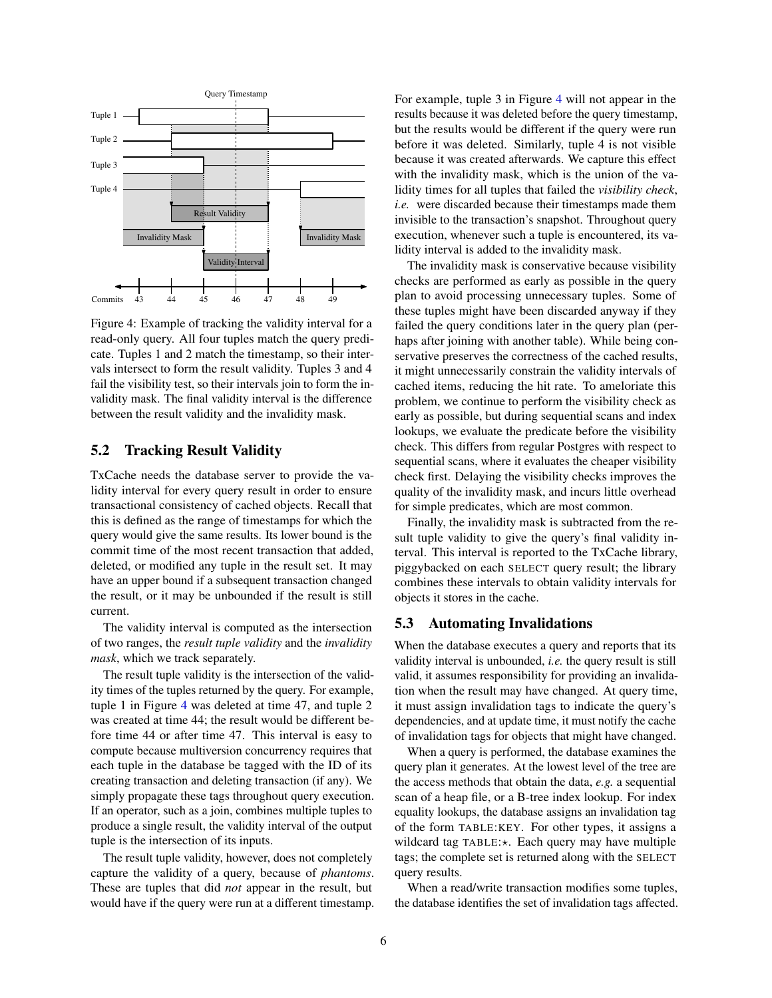

<span id="page-5-0"></span>Figure 4: Example of tracking the validity interval for a read-only query. All four tuples match the query predicate. Tuples 1 and 2 match the timestamp, so their intervals intersect to form the result validity. Tuples 3 and 4 fail the visibility test, so their intervals join to form the invalidity mask. The final validity interval is the difference between the result validity and the invalidity mask.

# 5.2 Tracking Result Validity

TxCache needs the database server to provide the validity interval for every query result in order to ensure transactional consistency of cached objects. Recall that this is defined as the range of timestamps for which the query would give the same results. Its lower bound is the commit time of the most recent transaction that added, deleted, or modified any tuple in the result set. It may have an upper bound if a subsequent transaction changed the result, or it may be unbounded if the result is still current.

The validity interval is computed as the intersection of two ranges, the *result tuple validity* and the *invalidity mask*, which we track separately.

The result tuple validity is the intersection of the validity times of the tuples returned by the query. For example, tuple 1 in Figure [4](#page-5-0) was deleted at time 47, and tuple 2 was created at time 44; the result would be different before time 44 or after time 47. This interval is easy to compute because multiversion concurrency requires that each tuple in the database be tagged with the ID of its creating transaction and deleting transaction (if any). We simply propagate these tags throughout query execution. If an operator, such as a join, combines multiple tuples to produce a single result, the validity interval of the output tuple is the intersection of its inputs.

The result tuple validity, however, does not completely capture the validity of a query, because of *phantoms*. These are tuples that did *not* appear in the result, but would have if the query were run at a different timestamp. For example, tuple 3 in Figure [4](#page-5-0) will not appear in the results because it was deleted before the query timestamp, but the results would be different if the query were run before it was deleted. Similarly, tuple 4 is not visible because it was created afterwards. We capture this effect with the invalidity mask, which is the union of the validity times for all tuples that failed the *visibility check*, *i.e.* were discarded because their timestamps made them invisible to the transaction's snapshot. Throughout query execution, whenever such a tuple is encountered, its validity interval is added to the invalidity mask.

The invalidity mask is conservative because visibility checks are performed as early as possible in the query plan to avoid processing unnecessary tuples. Some of these tuples might have been discarded anyway if they failed the query conditions later in the query plan (perhaps after joining with another table). While being conservative preserves the correctness of the cached results, it might unnecessarily constrain the validity intervals of cached items, reducing the hit rate. To ameloriate this problem, we continue to perform the visibility check as early as possible, but during sequential scans and index lookups, we evaluate the predicate before the visibility check. This differs from regular Postgres with respect to sequential scans, where it evaluates the cheaper visibility check first. Delaying the visibility checks improves the quality of the invalidity mask, and incurs little overhead for simple predicates, which are most common.

Finally, the invalidity mask is subtracted from the result tuple validity to give the query's final validity interval. This interval is reported to the TxCache library, piggybacked on each SELECT query result; the library combines these intervals to obtain validity intervals for objects it stores in the cache.

# 5.3 Automating Invalidations

When the database executes a query and reports that its validity interval is unbounded, *i.e.* the query result is still valid, it assumes responsibility for providing an invalidation when the result may have changed. At query time, it must assign invalidation tags to indicate the query's dependencies, and at update time, it must notify the cache of invalidation tags for objects that might have changed.

When a query is performed, the database examines the query plan it generates. At the lowest level of the tree are the access methods that obtain the data, *e.g.* a sequential scan of a heap file, or a B-tree index lookup. For index equality lookups, the database assigns an invalidation tag of the form TABLE:KEY. For other types, it assigns a wildcard tag TABLE: $\star$ . Each query may have multiple tags; the complete set is returned along with the SELECT query results.

When a read/write transaction modifies some tuples, the database identifies the set of invalidation tags affected.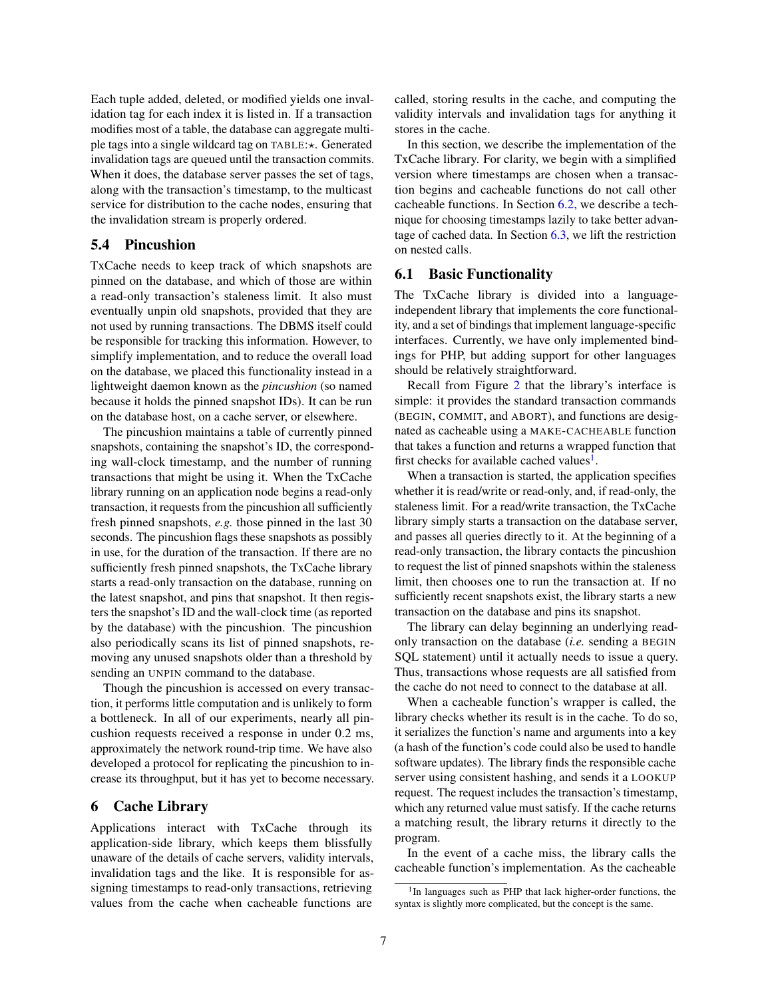Each tuple added, deleted, or modified yields one invalidation tag for each index it is listed in. If a transaction modifies most of a table, the database can aggregate multiple tags into a single wildcard tag on TABLE:\*. Generated invalidation tags are queued until the transaction commits. When it does, the database server passes the set of tags, along with the transaction's timestamp, to the multicast service for distribution to the cache nodes, ensuring that the invalidation stream is properly ordered.

# 5.4 Pincushion

TxCache needs to keep track of which snapshots are pinned on the database, and which of those are within a read-only transaction's staleness limit. It also must eventually unpin old snapshots, provided that they are not used by running transactions. The DBMS itself could be responsible for tracking this information. However, to simplify implementation, and to reduce the overall load on the database, we placed this functionality instead in a lightweight daemon known as the *pincushion* (so named because it holds the pinned snapshot IDs). It can be run on the database host, on a cache server, or elsewhere.

The pincushion maintains a table of currently pinned snapshots, containing the snapshot's ID, the corresponding wall-clock timestamp, and the number of running transactions that might be using it. When the TxCache library running on an application node begins a read-only transaction, it requests from the pincushion all sufficiently fresh pinned snapshots, *e.g.* those pinned in the last 30 seconds. The pincushion flags these snapshots as possibly in use, for the duration of the transaction. If there are no sufficiently fresh pinned snapshots, the TxCache library starts a read-only transaction on the database, running on the latest snapshot, and pins that snapshot. It then registers the snapshot's ID and the wall-clock time (as reported by the database) with the pincushion. The pincushion also periodically scans its list of pinned snapshots, removing any unused snapshots older than a threshold by sending an UNPIN command to the database.

Though the pincushion is accessed on every transaction, it performs little computation and is unlikely to form a bottleneck. In all of our experiments, nearly all pincushion requests received a response in under 0.2 ms, approximately the network round-trip time. We have also developed a protocol for replicating the pincushion to increase its throughput, but it has yet to become necessary.

# <span id="page-6-0"></span>6 Cache Library

Applications interact with TxCache through its application-side library, which keeps them blissfully unaware of the details of cache servers, validity intervals, invalidation tags and the like. It is responsible for assigning timestamps to read-only transactions, retrieving values from the cache when cacheable functions are

called, storing results in the cache, and computing the validity intervals and invalidation tags for anything it stores in the cache.

In this section, we describe the implementation of the TxCache library. For clarity, we begin with a simplified version where timestamps are chosen when a transaction begins and cacheable functions do not call other cacheable functions. In Section [6.2,](#page-7-0) we describe a technique for choosing timestamps lazily to take better advantage of cached data. In Section [6.3,](#page-8-1) we lift the restriction on nested calls.

#### 6.1 Basic Functionality

The TxCache library is divided into a languageindependent library that implements the core functionality, and a set of bindings that implement language-specific interfaces. Currently, we have only implemented bindings for PHP, but adding support for other languages should be relatively straightforward.

Recall from Figure [2](#page-2-0) that the library's interface is simple: it provides the standard transaction commands (BEGIN, COMMIT, and ABORT), and functions are designated as cacheable using a MAKE-CACHEABLE function that takes a function and returns a wrapped function that first checks for available cached values<sup>[1](#page-6-1)</sup>.

When a transaction is started, the application specifies whether it is read/write or read-only, and, if read-only, the staleness limit. For a read/write transaction, the TxCache library simply starts a transaction on the database server, and passes all queries directly to it. At the beginning of a read-only transaction, the library contacts the pincushion to request the list of pinned snapshots within the staleness limit, then chooses one to run the transaction at. If no sufficiently recent snapshots exist, the library starts a new transaction on the database and pins its snapshot.

The library can delay beginning an underlying readonly transaction on the database (*i.e.* sending a BEGIN SQL statement) until it actually needs to issue a query. Thus, transactions whose requests are all satisfied from the cache do not need to connect to the database at all.

When a cacheable function's wrapper is called, the library checks whether its result is in the cache. To do so, it serializes the function's name and arguments into a key (a hash of the function's code could also be used to handle software updates). The library finds the responsible cache server using consistent hashing, and sends it a LOOKUP request. The request includes the transaction's timestamp, which any returned value must satisfy. If the cache returns a matching result, the library returns it directly to the program.

In the event of a cache miss, the library calls the cacheable function's implementation. As the cacheable

<span id="page-6-1"></span><sup>&</sup>lt;sup>1</sup>In languages such as PHP that lack higher-order functions, the syntax is slightly more complicated, but the concept is the same.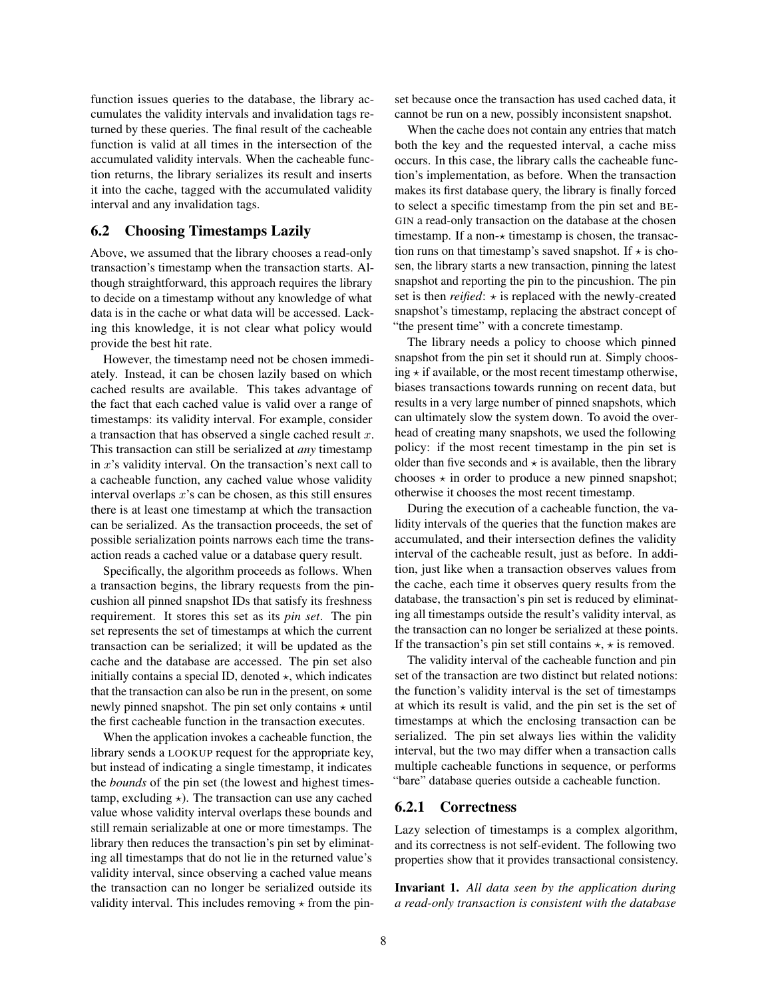function issues queries to the database, the library accumulates the validity intervals and invalidation tags returned by these queries. The final result of the cacheable function is valid at all times in the intersection of the accumulated validity intervals. When the cacheable function returns, the library serializes its result and inserts it into the cache, tagged with the accumulated validity interval and any invalidation tags.

#### <span id="page-7-0"></span>6.2 Choosing Timestamps Lazily

Above, we assumed that the library chooses a read-only transaction's timestamp when the transaction starts. Although straightforward, this approach requires the library to decide on a timestamp without any knowledge of what data is in the cache or what data will be accessed. Lacking this knowledge, it is not clear what policy would provide the best hit rate.

However, the timestamp need not be chosen immediately. Instead, it can be chosen lazily based on which cached results are available. This takes advantage of the fact that each cached value is valid over a range of timestamps: its validity interval. For example, consider a transaction that has observed a single cached result  $x$ . This transaction can still be serialized at *any* timestamp in  $x$ 's validity interval. On the transaction's next call to a cacheable function, any cached value whose validity interval overlaps  $x$ 's can be chosen, as this still ensures there is at least one timestamp at which the transaction can be serialized. As the transaction proceeds, the set of possible serialization points narrows each time the transaction reads a cached value or a database query result.

Specifically, the algorithm proceeds as follows. When a transaction begins, the library requests from the pincushion all pinned snapshot IDs that satisfy its freshness requirement. It stores this set as its *pin set*. The pin set represents the set of timestamps at which the current transaction can be serialized; it will be updated as the cache and the database are accessed. The pin set also initially contains a special ID, denoted  $\star$ , which indicates that the transaction can also be run in the present, on some newly pinned snapshot. The pin set only contains  $\star$  until the first cacheable function in the transaction executes.

When the application invokes a cacheable function, the library sends a LOOKUP request for the appropriate key, but instead of indicating a single timestamp, it indicates the *bounds* of the pin set (the lowest and highest timestamp, excluding  $\star$ ). The transaction can use any cached value whose validity interval overlaps these bounds and still remain serializable at one or more timestamps. The library then reduces the transaction's pin set by eliminating all timestamps that do not lie in the returned value's validity interval, since observing a cached value means the transaction can no longer be serialized outside its validity interval. This includes removing  $\star$  from the pinset because once the transaction has used cached data, it cannot be run on a new, possibly inconsistent snapshot.

When the cache does not contain any entries that match both the key and the requested interval, a cache miss occurs. In this case, the library calls the cacheable function's implementation, as before. When the transaction makes its first database query, the library is finally forced to select a specific timestamp from the pin set and BE-GIN a read-only transaction on the database at the chosen timestamp. If a non- $\star$  timestamp is chosen, the transaction runs on that timestamp's saved snapshot. If  $\star$  is chosen, the library starts a new transaction, pinning the latest snapshot and reporting the pin to the pincushion. The pin set is then *reified*:  $\star$  is replaced with the newly-created snapshot's timestamp, replacing the abstract concept of "the present time" with a concrete timestamp.

The library needs a policy to choose which pinned snapshot from the pin set it should run at. Simply choosing  $\star$  if available, or the most recent timestamp otherwise, biases transactions towards running on recent data, but results in a very large number of pinned snapshots, which can ultimately slow the system down. To avoid the overhead of creating many snapshots, we used the following policy: if the most recent timestamp in the pin set is older than five seconds and  $\star$  is available, then the library chooses  $\star$  in order to produce a new pinned snapshot; otherwise it chooses the most recent timestamp.

During the execution of a cacheable function, the validity intervals of the queries that the function makes are accumulated, and their intersection defines the validity interval of the cacheable result, just as before. In addition, just like when a transaction observes values from the cache, each time it observes query results from the database, the transaction's pin set is reduced by eliminating all timestamps outside the result's validity interval, as the transaction can no longer be serialized at these points. If the transaction's pin set still contains  $\star$ ,  $\star$  is removed.

The validity interval of the cacheable function and pin set of the transaction are two distinct but related notions: the function's validity interval is the set of timestamps at which its result is valid, and the pin set is the set of timestamps at which the enclosing transaction can be serialized. The pin set always lies within the validity interval, but the two may differ when a transaction calls multiple cacheable functions in sequence, or performs "bare" database queries outside a cacheable function.

#### 6.2.1 Correctness

Lazy selection of timestamps is a complex algorithm, and its correctness is not self-evident. The following two properties show that it provides transactional consistency.

<span id="page-7-1"></span>Invariant 1. *All data seen by the application during a read-only transaction is consistent with the database*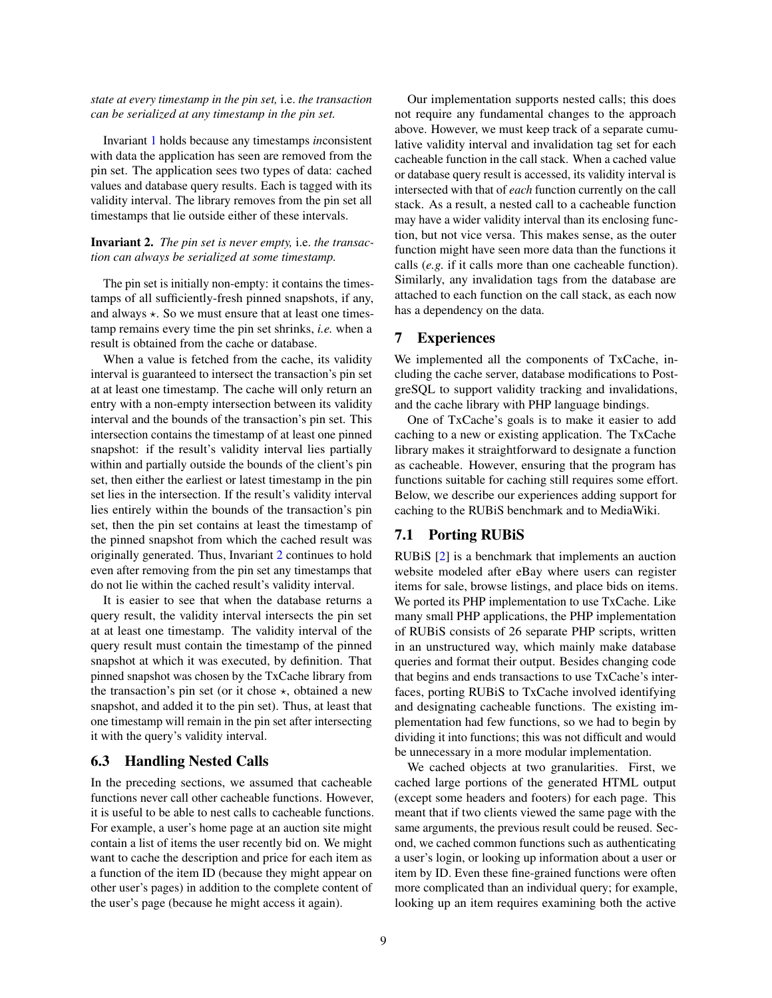#### *state at every timestamp in the pin set,* i.e. *the transaction can be serialized at any timestamp in the pin set.*

Invariant [1](#page-7-1) holds because any timestamps *in*consistent with data the application has seen are removed from the pin set. The application sees two types of data: cached values and database query results. Each is tagged with its validity interval. The library removes from the pin set all timestamps that lie outside either of these intervals.

#### <span id="page-8-2"></span>Invariant 2. *The pin set is never empty,* i.e. *the transaction can always be serialized at some timestamp.*

The pin set is initially non-empty: it contains the timestamps of all sufficiently-fresh pinned snapshots, if any, and always  $\star$ . So we must ensure that at least one timestamp remains every time the pin set shrinks, *i.e.* when a result is obtained from the cache or database.

When a value is fetched from the cache, its validity interval is guaranteed to intersect the transaction's pin set at at least one timestamp. The cache will only return an entry with a non-empty intersection between its validity interval and the bounds of the transaction's pin set. This intersection contains the timestamp of at least one pinned snapshot: if the result's validity interval lies partially within and partially outside the bounds of the client's pin set, then either the earliest or latest timestamp in the pin set lies in the intersection. If the result's validity interval lies entirely within the bounds of the transaction's pin set, then the pin set contains at least the timestamp of the pinned snapshot from which the cached result was originally generated. Thus, Invariant [2](#page-8-2) continues to hold even after removing from the pin set any timestamps that do not lie within the cached result's validity interval.

It is easier to see that when the database returns a query result, the validity interval intersects the pin set at at least one timestamp. The validity interval of the query result must contain the timestamp of the pinned snapshot at which it was executed, by definition. That pinned snapshot was chosen by the TxCache library from the transaction's pin set (or it chose  $\star$ , obtained a new snapshot, and added it to the pin set). Thus, at least that one timestamp will remain in the pin set after intersecting it with the query's validity interval.

# <span id="page-8-1"></span>6.3 Handling Nested Calls

In the preceding sections, we assumed that cacheable functions never call other cacheable functions. However, it is useful to be able to nest calls to cacheable functions. For example, a user's home page at an auction site might contain a list of items the user recently bid on. We might want to cache the description and price for each item as a function of the item ID (because they might appear on other user's pages) in addition to the complete content of the user's page (because he might access it again).

Our implementation supports nested calls; this does not require any fundamental changes to the approach above. However, we must keep track of a separate cumulative validity interval and invalidation tag set for each cacheable function in the call stack. When a cached value or database query result is accessed, its validity interval is intersected with that of *each* function currently on the call stack. As a result, a nested call to a cacheable function may have a wider validity interval than its enclosing function, but not vice versa. This makes sense, as the outer function might have seen more data than the functions it calls (*e.g.* if it calls more than one cacheable function). Similarly, any invalidation tags from the database are attached to each function on the call stack, as each now has a dependency on the data.

# <span id="page-8-0"></span>7 Experiences

We implemented all the components of TxCache, including the cache server, database modifications to PostgreSQL to support validity tracking and invalidations, and the cache library with PHP language bindings.

One of TxCache's goals is to make it easier to add caching to a new or existing application. The TxCache library makes it straightforward to designate a function as cacheable. However, ensuring that the program has functions suitable for caching still requires some effort. Below, we describe our experiences adding support for caching to the RUBiS benchmark and to MediaWiki.

# 7.1 Porting RUBiS

RUBiS [\[2\]](#page-12-1) is a benchmark that implements an auction website modeled after eBay where users can register items for sale, browse listings, and place bids on items. We ported its PHP implementation to use TxCache. Like many small PHP applications, the PHP implementation of RUBiS consists of 26 separate PHP scripts, written in an unstructured way, which mainly make database queries and format their output. Besides changing code that begins and ends transactions to use TxCache's interfaces, porting RUBiS to TxCache involved identifying and designating cacheable functions. The existing implementation had few functions, so we had to begin by dividing it into functions; this was not difficult and would be unnecessary in a more modular implementation.

We cached objects at two granularities. First, we cached large portions of the generated HTML output (except some headers and footers) for each page. This meant that if two clients viewed the same page with the same arguments, the previous result could be reused. Second, we cached common functions such as authenticating a user's login, or looking up information about a user or item by ID. Even these fine-grained functions were often more complicated than an individual query; for example, looking up an item requires examining both the active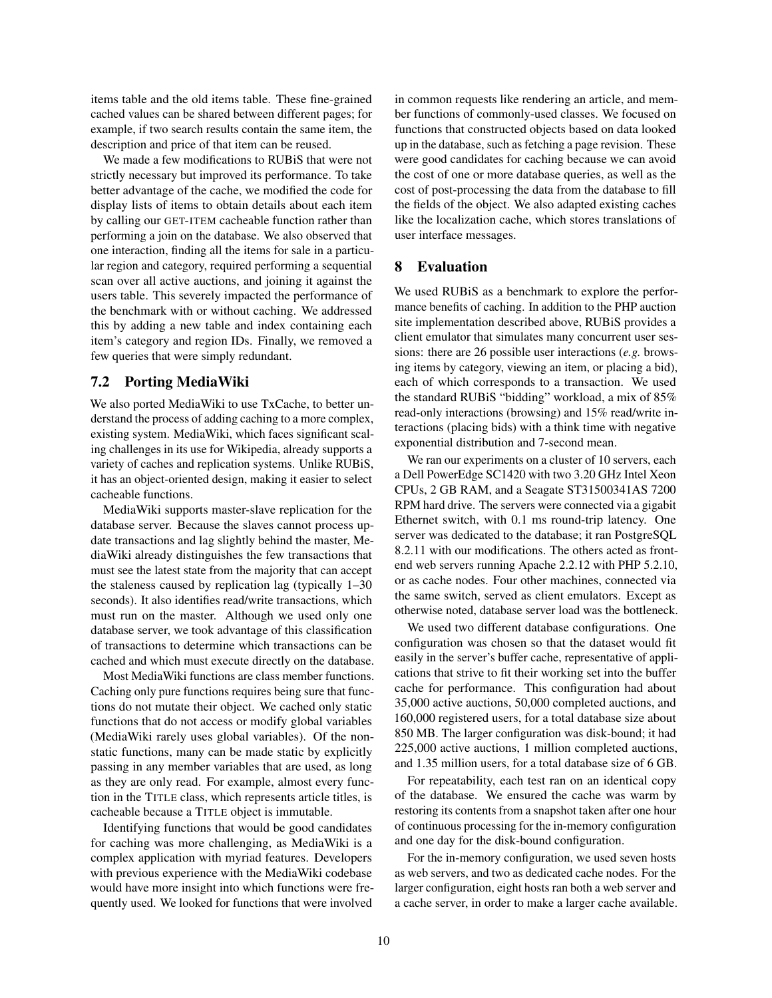items table and the old items table. These fine-grained cached values can be shared between different pages; for example, if two search results contain the same item, the description and price of that item can be reused.

We made a few modifications to RUBiS that were not strictly necessary but improved its performance. To take better advantage of the cache, we modified the code for display lists of items to obtain details about each item by calling our GET-ITEM cacheable function rather than performing a join on the database. We also observed that one interaction, finding all the items for sale in a particular region and category, required performing a sequential scan over all active auctions, and joining it against the users table. This severely impacted the performance of the benchmark with or without caching. We addressed this by adding a new table and index containing each item's category and region IDs. Finally, we removed a few queries that were simply redundant.

# 7.2 Porting MediaWiki

We also ported MediaWiki to use TxCache, to better understand the process of adding caching to a more complex, existing system. MediaWiki, which faces significant scaling challenges in its use for Wikipedia, already supports a variety of caches and replication systems. Unlike RUBiS, it has an object-oriented design, making it easier to select cacheable functions.

MediaWiki supports master-slave replication for the database server. Because the slaves cannot process update transactions and lag slightly behind the master, MediaWiki already distinguishes the few transactions that must see the latest state from the majority that can accept the staleness caused by replication lag (typically 1–30 seconds). It also identifies read/write transactions, which must run on the master. Although we used only one database server, we took advantage of this classification of transactions to determine which transactions can be cached and which must execute directly on the database.

Most MediaWiki functions are class member functions. Caching only pure functions requires being sure that functions do not mutate their object. We cached only static functions that do not access or modify global variables (MediaWiki rarely uses global variables). Of the nonstatic functions, many can be made static by explicitly passing in any member variables that are used, as long as they are only read. For example, almost every function in the TITLE class, which represents article titles, is cacheable because a TITLE object is immutable.

Identifying functions that would be good candidates for caching was more challenging, as MediaWiki is a complex application with myriad features. Developers with previous experience with the MediaWiki codebase would have more insight into which functions were frequently used. We looked for functions that were involved in common requests like rendering an article, and member functions of commonly-used classes. We focused on functions that constructed objects based on data looked up in the database, such as fetching a page revision. These were good candidates for caching because we can avoid the cost of one or more database queries, as well as the cost of post-processing the data from the database to fill the fields of the object. We also adapted existing caches like the localization cache, which stores translations of user interface messages.

# <span id="page-9-0"></span>8 Evaluation

We used RUBiS as a benchmark to explore the performance benefits of caching. In addition to the PHP auction site implementation described above, RUBiS provides a client emulator that simulates many concurrent user sessions: there are 26 possible user interactions (*e.g.* browsing items by category, viewing an item, or placing a bid), each of which corresponds to a transaction. We used the standard RUBiS "bidding" workload, a mix of 85% read-only interactions (browsing) and 15% read/write interactions (placing bids) with a think time with negative exponential distribution and 7-second mean.

We ran our experiments on a cluster of 10 servers, each a Dell PowerEdge SC1420 with two 3.20 GHz Intel Xeon CPUs, 2 GB RAM, and a Seagate ST31500341AS 7200 RPM hard drive. The servers were connected via a gigabit Ethernet switch, with 0.1 ms round-trip latency. One server was dedicated to the database; it ran PostgreSQL 8.2.11 with our modifications. The others acted as frontend web servers running Apache 2.2.12 with PHP 5.2.10, or as cache nodes. Four other machines, connected via the same switch, served as client emulators. Except as otherwise noted, database server load was the bottleneck.

We used two different database configurations. One configuration was chosen so that the dataset would fit easily in the server's buffer cache, representative of applications that strive to fit their working set into the buffer cache for performance. This configuration had about 35,000 active auctions, 50,000 completed auctions, and 160,000 registered users, for a total database size about 850 MB. The larger configuration was disk-bound; it had 225,000 active auctions, 1 million completed auctions, and 1.35 million users, for a total database size of 6 GB.

For repeatability, each test ran on an identical copy of the database. We ensured the cache was warm by restoring its contents from a snapshot taken after one hour of continuous processing for the in-memory configuration and one day for the disk-bound configuration.

For the in-memory configuration, we used seven hosts as web servers, and two as dedicated cache nodes. For the larger configuration, eight hosts ran both a web server and a cache server, in order to make a larger cache available.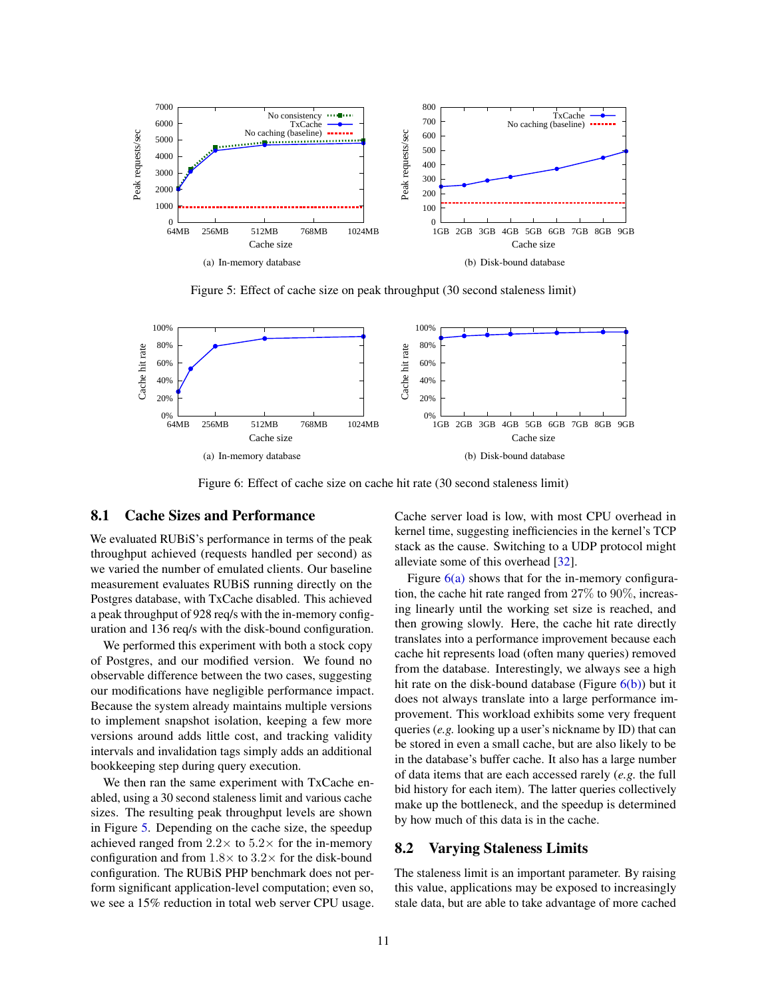<span id="page-10-3"></span>

<span id="page-10-0"></span>Figure 5: Effect of cache size on peak throughput (30 second staleness limit)

<span id="page-10-1"></span>

Figure 6: Effect of cache size on cache hit rate (30 second staleness limit)

#### 8.1 Cache Sizes and Performance

We evaluated RUBiS's performance in terms of the peak throughput achieved (requests handled per second) as we varied the number of emulated clients. Our baseline measurement evaluates RUBiS running directly on the Postgres database, with TxCache disabled. This achieved a peak throughput of 928 req/s with the in-memory configuration and 136 req/s with the disk-bound configuration.

We performed this experiment with both a stock copy of Postgres, and our modified version. We found no observable difference between the two cases, suggesting our modifications have negligible performance impact. Because the system already maintains multiple versions to implement snapshot isolation, keeping a few more versions around adds little cost, and tracking validity intervals and invalidation tags simply adds an additional bookkeeping step during query execution.

We then ran the same experiment with TxCache enabled, using a 30 second staleness limit and various cache sizes. The resulting peak throughput levels are shown in Figure [5.](#page-10-0) Depending on the cache size, the speedup achieved ranged from  $2.2 \times$  to  $5.2 \times$  for the in-memory configuration and from  $1.8 \times$  to  $3.2 \times$  for the disk-bound configuration. The RUBiS PHP benchmark does not perform significant application-level computation; even so, we see a 15% reduction in total web server CPU usage. <span id="page-10-2"></span>Cache server load is low, with most CPU overhead in kernel time, suggesting inefficiencies in the kernel's TCP stack as the cause. Switching to a UDP protocol might alleviate some of this overhead [\[32\]](#page-13-17).

Figure  $6(a)$  shows that for the in-memory configuration, the cache hit rate ranged from 27% to 90%, increasing linearly until the working set size is reached, and then growing slowly. Here, the cache hit rate directly translates into a performance improvement because each cache hit represents load (often many queries) removed from the database. Interestingly, we always see a high hit rate on the disk-bound database (Figure  $6(b)$ ) but it does not always translate into a large performance improvement. This workload exhibits some very frequent queries (*e.g.* looking up a user's nickname by ID) that can be stored in even a small cache, but are also likely to be in the database's buffer cache. It also has a large number of data items that are each accessed rarely (*e.g.* the full bid history for each item). The latter queries collectively make up the bottleneck, and the speedup is determined by how much of this data is in the cache.

## 8.2 Varying Staleness Limits

The staleness limit is an important parameter. By raising this value, applications may be exposed to increasingly stale data, but are able to take advantage of more cached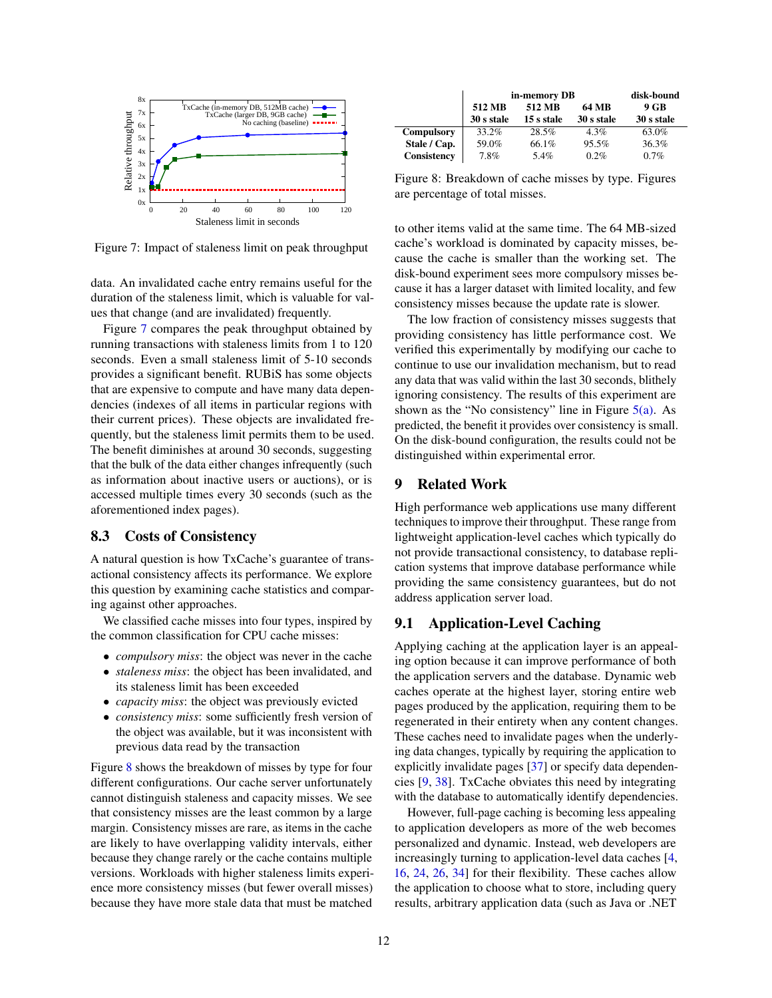

<span id="page-11-1"></span>Figure 7: Impact of staleness limit on peak throughput

data. An invalidated cache entry remains useful for the duration of the staleness limit, which is valuable for values that change (and are invalidated) frequently.

Figure [7](#page-11-1) compares the peak throughput obtained by running transactions with staleness limits from 1 to 120 seconds. Even a small staleness limit of 5-10 seconds provides a significant benefit. RUBiS has some objects that are expensive to compute and have many data dependencies (indexes of all items in particular regions with their current prices). These objects are invalidated frequently, but the staleness limit permits them to be used. The benefit diminishes at around 30 seconds, suggesting that the bulk of the data either changes infrequently (such as information about inactive users or auctions), or is accessed multiple times every 30 seconds (such as the aforementioned index pages).

## 8.3 Costs of Consistency

A natural question is how TxCache's guarantee of transactional consistency affects its performance. We explore this question by examining cache statistics and comparing against other approaches.

We classified cache misses into four types, inspired by the common classification for CPU cache misses:

- *compulsory miss*: the object was never in the cache
- *staleness miss*: the object has been invalidated, and its staleness limit has been exceeded
- *capacity miss*: the object was previously evicted
- *consistency miss*: some sufficiently fresh version of the object was available, but it was inconsistent with previous data read by the transaction

Figure [8](#page-11-2) shows the breakdown of misses by type for four different configurations. Our cache server unfortunately cannot distinguish staleness and capacity misses. We see that consistency misses are the least common by a large margin. Consistency misses are rare, as items in the cache are likely to have overlapping validity intervals, either because they change rarely or the cache contains multiple versions. Workloads with higher staleness limits experience more consistency misses (but fewer overall misses) because they have more stale data that must be matched

|              | in-memory DB |            |            | disk-bound |
|--------------|--------------|------------|------------|------------|
|              | 512 MB       | 512 MB     | 64 MB      | 9 GB       |
|              | 30 s stale   | 15 s stale | 30 s stale | 30 s stale |
| Compulsory   | 33.2%        | 28.5%      | 4.3%       | 63.0%      |
| Stale / Cap. | 59.0%        | 66.1%      | 95.5%      | 36.3%      |
| Consistency  | 7.8%         | 5.4%       | 0.2%       | $0.7\%$    |

<span id="page-11-2"></span>Figure 8: Breakdown of cache misses by type. Figures are percentage of total misses.

to other items valid at the same time. The 64 MB-sized cache's workload is dominated by capacity misses, because the cache is smaller than the working set. The disk-bound experiment sees more compulsory misses because it has a larger dataset with limited locality, and few consistency misses because the update rate is slower.

The low fraction of consistency misses suggests that providing consistency has little performance cost. We verified this experimentally by modifying our cache to continue to use our invalidation mechanism, but to read any data that was valid within the last 30 seconds, blithely ignoring consistency. The results of this experiment are shown as the "No consistency" line in Figure  $5(a)$ . As predicted, the benefit it provides over consistency is small. On the disk-bound configuration, the results could not be distinguished within experimental error.

# <span id="page-11-0"></span>9 Related Work

High performance web applications use many different techniques to improve their throughput. These range from lightweight application-level caches which typically do not provide transactional consistency, to database replication systems that improve database performance while providing the same consistency guarantees, but do not address application server load.

# 9.1 Application-Level Caching

Applying caching at the application layer is an appealing option because it can improve performance of both the application servers and the database. Dynamic web caches operate at the highest layer, storing entire web pages produced by the application, requiring them to be regenerated in their entirety when any content changes. These caches need to invalidate pages when the underlying data changes, typically by requiring the application to explicitly invalidate pages [\[37\]](#page-13-18) or specify data dependencies [\[9,](#page-13-19) [38\]](#page-13-20). TxCache obviates this need by integrating with the database to automatically identify dependencies.

However, full-page caching is becoming less appealing to application developers as more of the web becomes personalized and dynamic. Instead, web developers are increasingly turning to application-level data caches [\[4,](#page-13-21) [16,](#page-13-22) [24,](#page-13-0) [26,](#page-13-23) [34\]](#page-13-1) for their flexibility. These caches allow the application to choose what to store, including query results, arbitrary application data (such as Java or .NET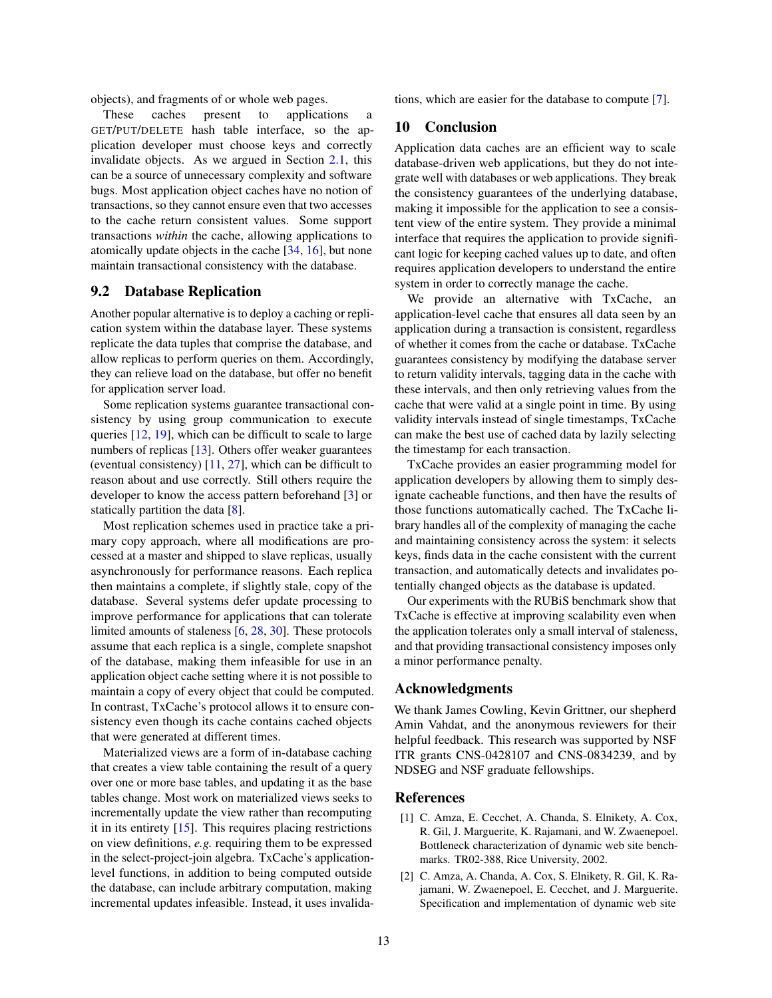objects), and fragments of or whole web pages.

These caches present to applications a GET/PUT/DELETE hash table interface, so the application developer must choose keys and correctly invalidate objects. As we argued in Section [2.1,](#page-1-1) this can be a source of unnecessary complexity and software bugs. Most application object caches have no notion of transactions, so they cannot ensure even that two accesses to the cache return consistent values. Some support transactions *within* the cache, allowing applications to atomically update objects in the cache [\[34,](#page-13-1) [16\]](#page-13-22), but none maintain transactional consistency with the database.

# 9.2 Database Replication

Another popular alternative is to deploy a caching or replication system within the database layer. These systems replicate the data tuples that comprise the database, and allow replicas to perform queries on them. Accordingly, they can relieve load on the database, but offer no benefit for application server load.

Some replication systems guarantee transactional consistency by using group communication to execute queries [\[12,](#page-13-24) [19\]](#page-13-25), which can be difficult to scale to large numbers of replicas [\[13\]](#page-13-26). Others offer weaker guarantees (eventual consistency) [\[11,](#page-13-27) [27\]](#page-13-28), which can be difficult to reason about and use correctly. Still others require the developer to know the access pattern beforehand [\[3\]](#page-13-29) or statically partition the data [\[8\]](#page-13-30).

Most replication schemes used in practice take a primary copy approach, where all modifications are processed at a master and shipped to slave replicas, usually asynchronously for performance reasons. Each replica then maintains a complete, if slightly stale, copy of the database. Several systems defer update processing to improve performance for applications that can tolerate limited amounts of staleness [\[6,](#page-13-31) [28,](#page-13-32) [30\]](#page-13-33). These protocols assume that each replica is a single, complete snapshot of the database, making them infeasible for use in an application object cache setting where it is not possible to maintain a copy of every object that could be computed. In contrast, TxCache's protocol allows it to ensure consistency even though its cache contains cached objects that were generated at different times.

Materialized views are a form of in-database caching that creates a view table containing the result of a query over one or more base tables, and updating it as the base tables change. Most work on materialized views seeks to incrementally update the view rather than recomputing it in its entirety [\[15\]](#page-13-34). This requires placing restrictions on view definitions, *e.g.* requiring them to be expressed in the select-project-join algebra. TxCache's applicationlevel functions, in addition to being computed outside the database, can include arbitrary computation, making incremental updates infeasible. Instead, it uses invalidations, which are easier for the database to compute [\[7\]](#page-13-35).

# 10 Conclusion

Application data caches are an efficient way to scale database-driven web applications, but they do not integrate well with databases or web applications. They break the consistency guarantees of the underlying database, making it impossible for the application to see a consistent view of the entire system. They provide a minimal interface that requires the application to provide significant logic for keeping cached values up to date, and often requires application developers to understand the entire system in order to correctly manage the cache.

We provide an alternative with TxCache, an application-level cache that ensures all data seen by an application during a transaction is consistent, regardless of whether it comes from the cache or database. TxCache guarantees consistency by modifying the database server to return validity intervals, tagging data in the cache with these intervals, and then only retrieving values from the cache that were valid at a single point in time. By using validity intervals instead of single timestamps, TxCache can make the best use of cached data by lazily selecting the timestamp for each transaction.

TxCache provides an easier programming model for application developers by allowing them to simply designate cacheable functions, and then have the results of those functions automatically cached. The TxCache library handles all of the complexity of managing the cache and maintaining consistency across the system: it selects keys, finds data in the cache consistent with the current transaction, and automatically detects and invalidates potentially changed objects as the database is updated.

Our experiments with the RUBiS benchmark show that TxCache is effective at improving scalability even when the application tolerates only a small interval of staleness, and that providing transactional consistency imposes only a minor performance penalty.

# Acknowledgments

We thank James Cowling, Kevin Grittner, our shepherd Amin Vahdat, and the anonymous reviewers for their helpful feedback. This research was supported by NSF ITR grants CNS-0428107 and CNS-0834239, and by NDSEG and NSF graduate fellowships.

# References

- <span id="page-12-0"></span>[1] C. Amza, E. Cecchet, A. Chanda, S. Elnikety, A. Cox, R. Gil, J. Marguerite, K. Rajamani, and W. Zwaenepoel. Bottleneck characterization of dynamic web site benchmarks. TR02-388, Rice University, 2002.
- <span id="page-12-1"></span>[2] C. Amza, A. Chanda, A. Cox, S. Elnikety, R. Gil, K. Rajamani, W. Zwaenepoel, E. Cecchet, and J. Marguerite. Specification and implementation of dynamic web site